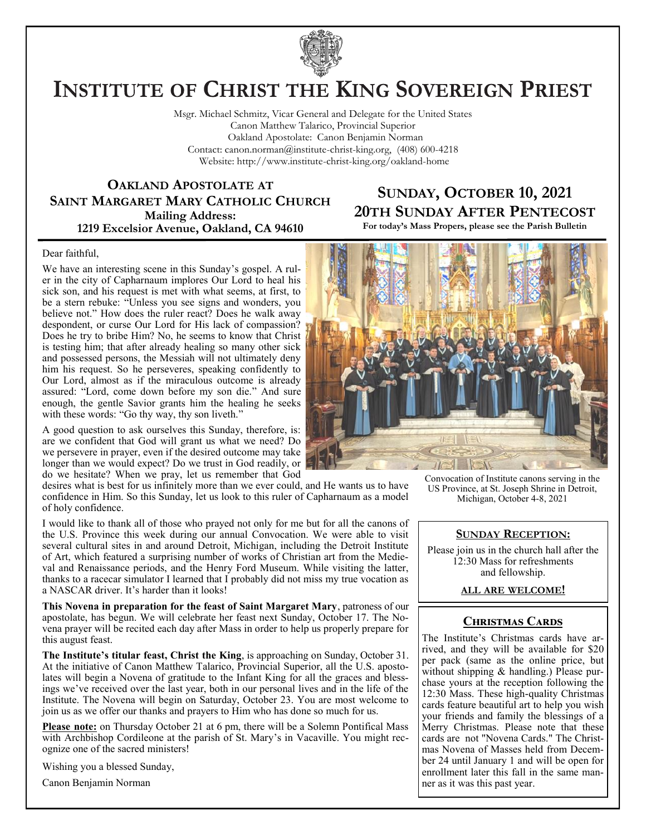

# **INSTITUTE OF CHRIST THE KING SOVEREIGN PRIEST**

Msgr. Michael Schmitz, Vicar General and Delegate for the United States Canon Matthew Talarico, Provincial Superior Oakland Apostolate: Canon Benjamin Norman Contact: canon.norman@institute-christ-king.org, (408) 600-4218 Website: http://www.institute-christ-king.org/oakland-home

**OAKLAND APOSTOLATE AT SAINT MARGARET MARY CATHOLIC CHURCH Mailing Address: 1219 Excelsior Avenue, Oakland, CA 94610**

### **SUNDAY, OCTOBER 10, 2021 20TH SUNDAY AFTER PENTECOST**

**For today's Mass Propers, please see the Parish Bulletin**

#### Dear faithful,

We have an interesting scene in this Sunday's gospel. A ruler in the city of Capharnaum implores Our Lord to heal his sick son, and his request is met with what seems, at first, to be a stern rebuke: "Unless you see signs and wonders, you believe not." How does the ruler react? Does he walk away despondent, or curse Our Lord for His lack of compassion? Does he try to bribe Him? No, he seems to know that Christ is testing him; that after already healing so many other sick and possessed persons, the Messiah will not ultimately deny him his request. So he perseveres, speaking confidently to Our Lord, almost as if the miraculous outcome is already assured: "Lord, come down before my son die." And sure enough, the gentle Savior grants him the healing he seeks with these words: "Go thy way, thy son liveth."

A good question to ask ourselves this Sunday, therefore, is: are we confident that God will grant us what we need? Do we persevere in prayer, even if the desired outcome may take longer than we would expect? Do we trust in God readily, or do we hesitate? When we pray, let us remember that God

desires what is best for us infinitely more than we ever could, and He wants us to have confidence in Him. So this Sunday, let us look to this ruler of Capharnaum as a model of holy confidence.

I would like to thank all of those who prayed not only for me but for all the canons of the U.S. Province this week during our annual Convocation. We were able to visit several cultural sites in and around Detroit, Michigan, including the Detroit Institute of Art, which featured a surprising number of works of Christian art from the Medieval and Renaissance periods, and the Henry Ford Museum. While visiting the latter, thanks to a racecar simulator I learned that I probably did not miss my true vocation as a NASCAR driver. It's harder than it looks!

**This Novena in preparation for the feast of Saint Margaret Mary**, patroness of our apostolate, has begun. We will celebrate her feast next Sunday, October 17. The Novena prayer will be recited each day after Mass in order to help us properly prepare for this august feast.

**The Institute's titular feast, Christ the King**, is approaching on Sunday, October 31. At the initiative of Canon Matthew Talarico, Provincial Superior, all the U.S. apostolates will begin a Novena of gratitude to the Infant King for all the graces and blessings we've received over the last year, both in our personal lives and in the life of the Institute. The Novena will begin on Saturday, October 23. You are most welcome to join us as we offer our thanks and prayers to Him who has done so much for us.

**Please note:** on Thursday October 21 at 6 pm, there will be a Solemn Pontifical Mass with Archbishop Cordileone at the parish of St. Mary's in Vacaville. You might recognize one of the sacred ministers!

Wishing you a blessed Sunday,

Canon Benjamin Norman



Convocation of Institute canons serving in the US Province, at St. Joseph Shrine in Detroit, Michigan, October 4-8, 2021

#### **SUNDAY RECEPTION:**

Please join us in the church hall after the 12:30 Mass for refreshments and fellowship.

#### **ALL ARE WELCOME!**

#### **Christmas Cards**

The Institute's Christmas cards have arrived, and they will be available for \$20 per pack (same as the online price, but without shipping & handling.) Please purchase yours at the reception following the 12:30 Mass. These high-quality Christmas cards feature beautiful art to help you wish your friends and family the blessings of a Merry Christmas. Please note that these cards are not "Novena Cards." The Christmas Novena of Masses held from December 24 until January 1 and will be open for enrollment later this fall in the same manner as it was this past year.